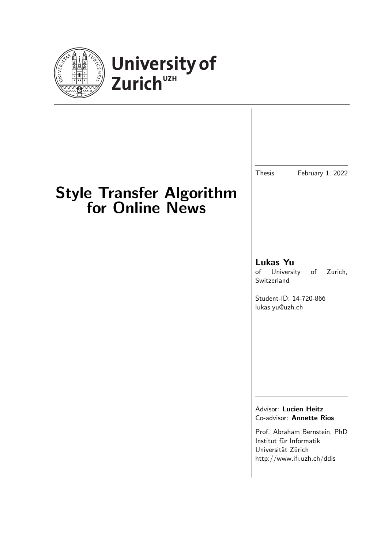



## Style Transfer Algorithm for Online News

### Lukas Yu

of University of Zurich, Switzerland

Thesis February 1, 2022

Student-ID: 14-720-866 lukas.yu@uzh.ch

Advisor: Lucien Heitz Co-advisor: Annette Rios

Prof. Abraham Bernstein, PhD Institut für Informatik Universität Zürich http://www.ifi.uzh.ch/ddis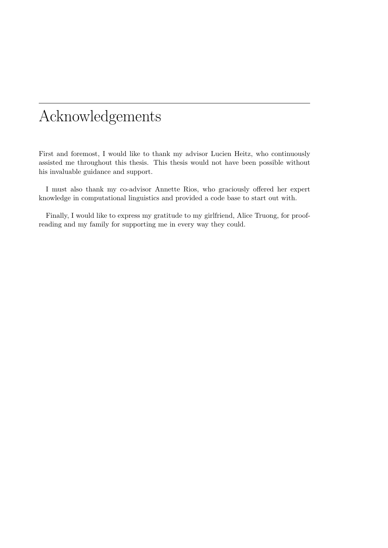## Acknowledgements

First and foremost, I would like to thank my advisor Lucien Heitz, who continuously assisted me throughout this thesis. This thesis would not have been possible without his invaluable guidance and support.

I must also thank my co-advisor Annette Rios, who graciously offered her expert knowledge in computational linguistics and provided a code base to start out with.

Finally, I would like to express my gratitude to my girlfriend, Alice Truong, for proofreading and my family for supporting me in every way they could.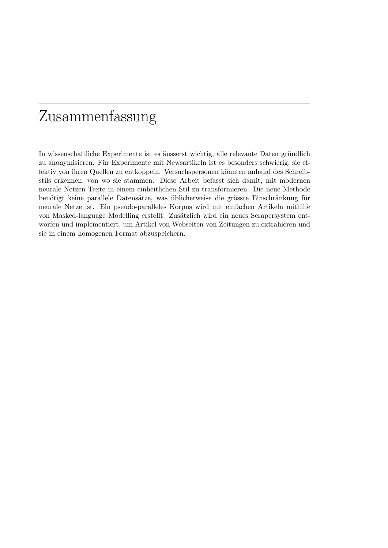## Zusammenfassung

In wissenschaftliche Experimente ist es äusserst wichtig, alle relevante Daten gründlich zu anonymisieren. Für Experimente mit Newsartikeln ist es besonders schwierig, sie effektiv von ihren Quellen zu entkoppeln. Versuchspersonen könnten anhand des Schreibstils erkennen, von wo sie stammen. Diese Arbeit befasst sich damit, mit modernen neurale Netzen Texte in einem einheitlichen Stil zu transformieren. Die neue Methode benötigt keine parallele Datensätze, was üblicherweise die grösste Einschränkung für neurale Netze ist. Ein pseudo-paralleles Korpus wird mit einfachen Artikeln mithilfe von Masked-language Modelling erstellt. Zusätzlich wird ein neues Scrapersystem entworfen und implementiert, um Artikel von Webseiten von Zeitungen zu extrahieren und sie in einem homogenen Format abzuspeichern.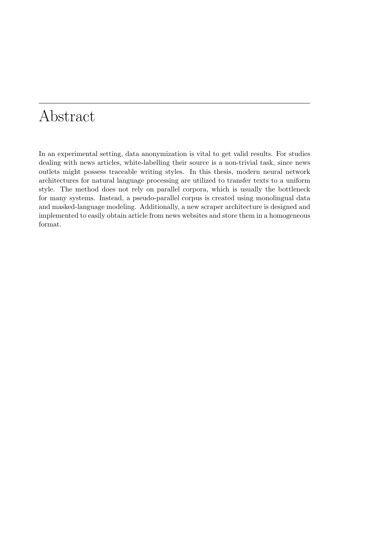## Abstract

In an experimental setting, data anonymization is vital to get valid results. For studies dealing with news articles, white-labelling their source is a non-trivial task, since news outlets might possess traceable writing styles. In this thesis, modern neural network architectures for natural language processing are utilized to transfer texts to a uniform style. The method does not rely on parallel corpora, which is usually the bottleneck for many systems. Instead, a pseudo-parallel corpus is created using monolingual data and masked-language modeling. Additionally, a new scraper architecture is designed and implemented to easily obtain article from news websites and store them in a homogeneous format.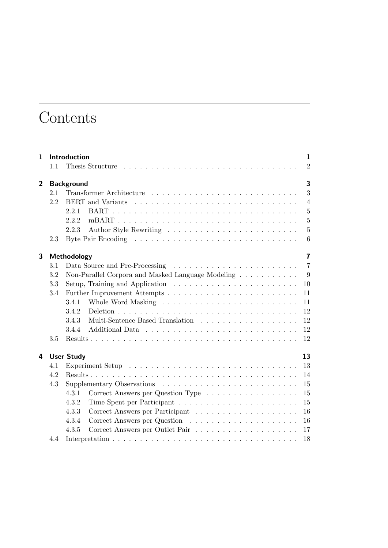## **Contents**

| Introduction<br>$\mathbf{1}$ |     |                               |                                                                                          | $\mathbf{1}$   |  |  |  |  |
|------------------------------|-----|-------------------------------|------------------------------------------------------------------------------------------|----------------|--|--|--|--|
|                              | 1.1 |                               |                                                                                          | $\overline{2}$ |  |  |  |  |
| $\overline{2}$               |     | 3<br><b>Background</b>        |                                                                                          |                |  |  |  |  |
|                              | 2.1 |                               | Transformer Architecture                                                                 | 3              |  |  |  |  |
|                              | 2.2 |                               |                                                                                          | $\overline{4}$ |  |  |  |  |
|                              |     | 2.2.1                         |                                                                                          | $\overline{5}$ |  |  |  |  |
|                              |     | 2.2.2                         |                                                                                          | $\overline{5}$ |  |  |  |  |
|                              |     | 2.2.3                         |                                                                                          | $\overline{5}$ |  |  |  |  |
|                              | 2.3 |                               |                                                                                          | 6              |  |  |  |  |
| 3                            |     | Methodology<br>$\overline{7}$ |                                                                                          |                |  |  |  |  |
|                              | 3.1 |                               |                                                                                          | $\overline{7}$ |  |  |  |  |
|                              | 3.2 |                               |                                                                                          | 9              |  |  |  |  |
|                              | 3.3 |                               | Setup, Training and Application $\ldots \ldots \ldots \ldots \ldots \ldots \ldots$<br>10 |                |  |  |  |  |
|                              | 3.4 |                               | 11                                                                                       |                |  |  |  |  |
|                              |     | 3.4.1                         | 11                                                                                       |                |  |  |  |  |
|                              |     | 3.4.2                         | 12                                                                                       |                |  |  |  |  |
|                              |     | 3.4.3                         | 12                                                                                       |                |  |  |  |  |
|                              |     | 3.4.4                         | 12                                                                                       |                |  |  |  |  |
|                              | 3.5 |                               | 12                                                                                       |                |  |  |  |  |
| 4                            |     | <b>User Study</b>             | 13                                                                                       |                |  |  |  |  |
|                              | 4.1 |                               | 13                                                                                       |                |  |  |  |  |
|                              | 4.2 |                               | 14                                                                                       |                |  |  |  |  |
|                              | 4.3 |                               | 15                                                                                       |                |  |  |  |  |
|                              |     | 4.3.1                         | Correct Answers per Question Type<br>15                                                  |                |  |  |  |  |
|                              |     | 4.3.2                         | 15                                                                                       |                |  |  |  |  |
|                              |     | 4.3.3                         | 16                                                                                       |                |  |  |  |  |
|                              |     | 4.3.4                         | 16                                                                                       |                |  |  |  |  |
|                              |     | 4.3.5                         | 17                                                                                       |                |  |  |  |  |
|                              | 4.4 |                               | 18                                                                                       |                |  |  |  |  |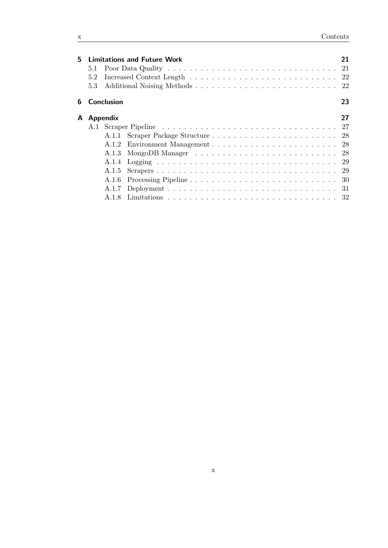| 5. |     |                     | <b>Limitations and Future Work</b> | 21 |
|----|-----|---------------------|------------------------------------|----|
|    | 5.1 |                     |                                    |    |
|    | 5.2 |                     |                                    |    |
|    | 5.3 |                     |                                    |    |
|    |     | <b>6</b> Conclusion |                                    | 23 |
|    |     | A Appendix          |                                    | 27 |
|    |     |                     |                                    |    |
|    |     |                     |                                    |    |
|    |     |                     |                                    |    |
|    |     |                     |                                    |    |
|    |     |                     |                                    |    |
|    |     |                     |                                    |    |
|    |     | A.1.6               |                                    |    |
|    |     | A.1.7               |                                    |    |
|    |     | A 18                |                                    |    |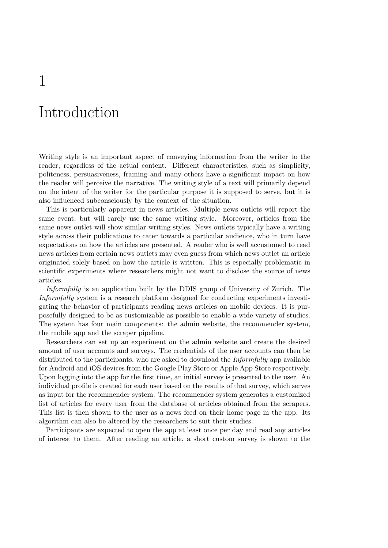# Introduction

1

Writing style is an important aspect of conveying information from the writer to the reader, regardless of the actual content. Different characteristics, such as simplicity, politeness, persuasiveness, framing and many others have a significant impact on how the reader will perceive the narrative. The writing style of a text will primarily depend on the intent of the writer for the particular purpose it is supposed to serve, but it is also influenced subconsciously by the context of the situation.

This is particularly apparent in news articles. Multiple news outlets will report the same event, but will rarely use the same writing style. Moreover, articles from the same news outlet will show similar writing styles. News outlets typically have a writing style across their publications to cater towards a particular audience, who in turn have expectations on how the articles are presented. A reader who is well accustomed to read news articles from certain news outlets may even guess from which news outlet an article originated solely based on how the article is written. This is especially problematic in scientific experiments where researchers might not want to disclose the source of news articles.

Informfully is an application built by the DDIS group of University of Zurich. The Informfully system is a research platform designed for conducting experiments investigating the behavior of participants reading news articles on mobile devices. It is purposefully designed to be as customizable as possible to enable a wide variety of studies. The system has four main components: the admin website, the recommender system, the mobile app and the scraper pipeline.

Researchers can set up an experiment on the admin website and create the desired amount of user accounts and surveys. The credentials of the user accounts can then be distributed to the participants, who are asked to download the *Informfully* app available for Android and iOS devices from the Google Play Store or Apple App Store respectively. Upon logging into the app for the first time, an initial survey is presented to the user. An individual profile is created for each user based on the results of that survey, which serves as input for the recommender system. The recommender system generates a customized list of articles for every user from the database of articles obtained from the scrapers. This list is then shown to the user as a news feed on their home page in the app. Its algorithm can also be altered by the researchers to suit their studies.

Participants are expected to open the app at least once per day and read any articles of interest to them. After reading an article, a short custom survey is shown to the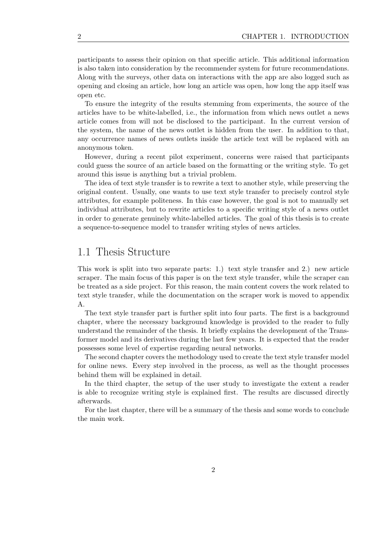participants to assess their opinion on that specific article. This additional information is also taken into consideration by the recommender system for future recommendations. Along with the surveys, other data on interactions with the app are also logged such as opening and closing an article, how long an article was open, how long the app itself was open etc.

To ensure the integrity of the results stemming from experiments, the source of the articles have to be white-labelled, i.e., the information from which news outlet a news article comes from will not be disclosed to the participant. In the current version of the system, the name of the news outlet is hidden from the user. In addition to that, any occurrence names of news outlets inside the article text will be replaced with an anonymous token.

However, during a recent pilot experiment, concerns were raised that participants could guess the source of an article based on the formatting or the writing style. To get around this issue is anything but a trivial problem.

The idea of text style transfer is to rewrite a text to another style, while preserving the original content. Usually, one wants to use text style transfer to precisely control style attributes, for example politeness. In this case however, the goal is not to manually set individual attributes, but to rewrite articles to a specific writing style of a news outlet in order to generate genuinely white-labelled articles. The goal of this thesis is to create a sequence-to-sequence model to transfer writing styles of news articles.

### 1.1 Thesis Structure

This work is split into two separate parts: 1.) text style transfer and 2.) new article scraper. The main focus of this paper is on the text style transfer, while the scraper can be treated as a side project. For this reason, the main content covers the work related to text style transfer, while the documentation on the scraper work is moved to appendix A.

The text style transfer part is further split into four parts. The first is a background chapter, where the necessary background knowledge is provided to the reader to fully understand the remainder of the thesis. It briefly explains the development of the Transformer model and its derivatives during the last few years. It is expected that the reader possesses some level of expertise regarding neural networks.

The second chapter covers the methodology used to create the text style transfer model for online news. Every step involved in the process, as well as the thought processes behind them will be explained in detail.

In the third chapter, the setup of the user study to investigate the extent a reader is able to recognize writing style is explained first. The results are discussed directly afterwards.

For the last chapter, there will be a summary of the thesis and some words to conclude the main work.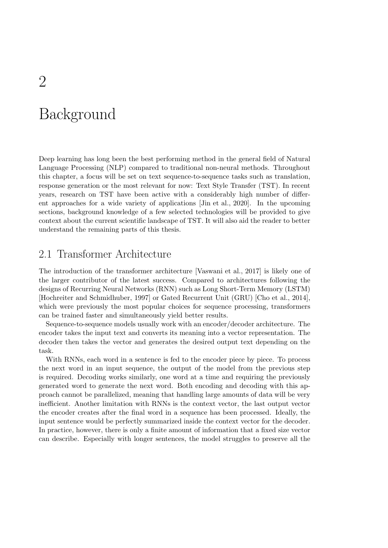# Background

Deep learning has long been the best performing method in the general field of Natural Language Processing (NLP) compared to traditional non-neural methods. Throughout this chapter, a focus will be set on text sequence-to-sequence tasks such as translation, response generation or the most relevant for now: Text Style Transfer (TST). In recent years, research on TST have been active with a considerably high number of different approaches for a wide variety of applications [Jin et al., 2020]. In the upcoming sections, background knowledge of a few selected technologies will be provided to give context about the current scientific landscape of TST. It will also aid the reader to better understand the remaining parts of this thesis.

### 2.1 Transformer Architecture

The introduction of the transformer architecture [Vaswani et al., 2017] is likely one of the larger contributor of the latest success. Compared to architectures following the designs of Recurring Neural Networks (RNN) such as Long Short-Term Memory (LSTM) [Hochreiter and Schmidhuber, 1997] or Gated Recurrent Unit (GRU) [Cho et al., 2014], which were previously the most popular choices for sequence processing, transformers can be trained faster and simultaneously yield better results.

Sequence-to-sequence models usually work with an encoder/decoder architecture. The encoder takes the input text and converts its meaning into a vector representation. The decoder then takes the vector and generates the desired output text depending on the task.

With RNNs, each word in a sentence is fed to the encoder piece by piece. To process the next word in an input sequence, the output of the model from the previous step is required. Decoding works similarly, one word at a time and requiring the previously generated word to generate the next word. Both encoding and decoding with this approach cannot be parallelized, meaning that handling large amounts of data will be very inefficient. Another limitation with RNNs is the context vector, the last output vector the encoder creates after the final word in a sequence has been processed. Ideally, the input sentence would be perfectly summarized inside the context vector for the decoder. In practice, however, there is only a finite amount of information that a fixed size vector can describe. Especially with longer sentences, the model struggles to preserve all the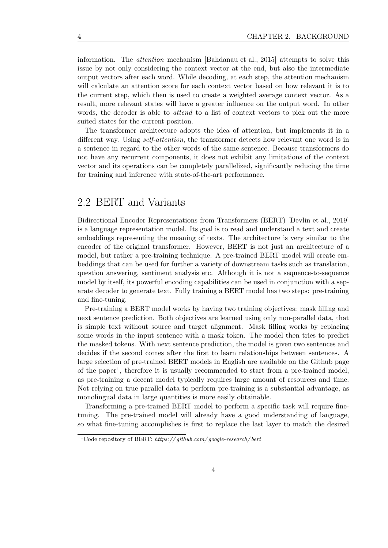information. The attention mechanism [Bahdanau et al., 2015] attempts to solve this issue by not only considering the context vector at the end, but also the intermediate output vectors after each word. While decoding, at each step, the attention mechanism will calculate an attention score for each context vector based on how relevant it is to the current step, which then is used to create a weighted average context vector. As a result, more relevant states will have a greater influence on the output word. In other words, the decoder is able to *attend* to a list of context vectors to pick out the more suited states for the current position.

The transformer architecture adopts the idea of attention, but implements it in a different way. Using *self-attention*, the transformer detects how relevant one word is in a sentence in regard to the other words of the same sentence. Because transformers do not have any recurrent components, it does not exhibit any limitations of the context vector and its operations can be completely parallelized, significantly reducing the time for training and inference with state-of-the-art performance.

### 2.2 BERT and Variants

Bidirectional Encoder Representations from Transformers (BERT) [Devlin et al., 2019] is a language representation model. Its goal is to read and understand a text and create embeddings representing the meaning of texts. The architecture is very similar to the encoder of the original transformer. However, BERT is not just an architecture of a model, but rather a pre-training technique. A pre-trained BERT model will create embeddings that can be used for further a variety of downstream tasks such as translation, question answering, sentiment analysis etc. Although it is not a sequence-to-sequence model by itself, its powerful encoding capabilities can be used in conjunction with a separate decoder to generate text. Fully training a BERT model has two steps: pre-training and fine-tuning.

Pre-training a BERT model works by having two training objectives: mask filling and next sentence prediction. Both objectives are learned using only non-parallel data, that is simple text without source and target alignment. Mask filling works by replacing some words in the input sentence with a mask token. The model then tries to predict the masked tokens. With next sentence prediction, the model is given two sentences and decides if the second comes after the first to learn relationships between sentences. A large selection of pre-trained BERT models in English are available on the Github page of the paper<sup>1</sup>, therefore it is usually recommended to start from a pre-trained model, as pre-training a decent model typically requires large amount of resources and time. Not relying on true parallel data to perform pre-training is a substantial advantage, as monolingual data in large quantities is more easily obtainable.

Transforming a pre-trained BERT model to perform a specific task will require finetuning. The pre-trained model will already have a good understanding of language, so what fine-tuning accomplishes is first to replace the last layer to match the desired

<sup>&</sup>lt;sup>1</sup>Code repository of BERT: https://github.com/google-research/bert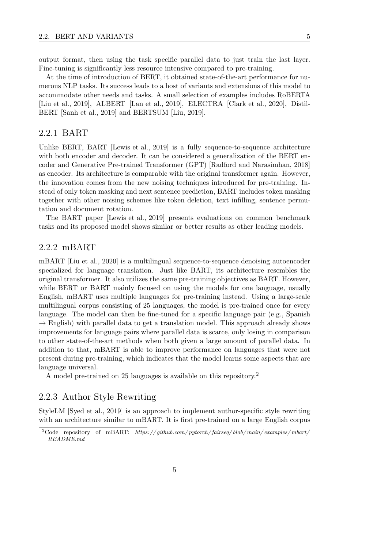output format, then using the task specific parallel data to just train the last layer. Fine-tuning is significantly less resource intensive compared to pre-training.

At the time of introduction of BERT, it obtained state-of-the-art performance for numerous NLP tasks. Its success leads to a host of variants and extensions of this model to accommodate other needs and tasks. A small selection of examples includes RoBERTA [Liu et al., 2019], ALBERT [Lan et al., 2019], ELECTRA [Clark et al., 2020], Distil-BERT [Sanh et al., 2019] and BERTSUM [Liu, 2019].

#### 2.2.1 BART

Unlike BERT, BART [Lewis et al., 2019] is a fully sequence-to-sequence architecture with both encoder and decoder. It can be considered a generalization of the BERT encoder and Generative Pre-trained Transformer (GPT) [Radford and Narasimhan, 2018] as encoder. Its architecture is comparable with the original transformer again. However, the innovation comes from the new noising techniques introduced for pre-training. Instead of only token masking and next sentence prediction, BART includes token masking together with other noising schemes like token deletion, text infilling, sentence permutation and document rotation.

The BART paper [Lewis et al., 2019] presents evaluations on common benchmark tasks and its proposed model shows similar or better results as other leading models.

#### 2.2.2 mBART

mBART [Liu et al., 2020] is a multilingual sequence-to-sequence denoising autoencoder specialized for language translation. Just like BART, its architecture resembles the original transformer. It also utilizes the same pre-training objectives as BART. However, while BERT or BART mainly focused on using the models for one language, usually English, mBART uses multiple languages for pre-training instead. Using a large-scale multilingual corpus consisting of 25 languages, the model is pre-trained once for every language. The model can then be fine-tuned for a specific language pair (e.g., Spanish  $\rightarrow$  English) with parallel data to get a translation model. This approach already shows improvements for language pairs where parallel data is scarce, only losing in comparison to other state-of-the-art methods when both given a large amount of parallel data. In addition to that, mBART is able to improve performance on languages that were not present during pre-training, which indicates that the model learns some aspects that are language universal.

A model pre-trained on 25 languages is available on this repository.<sup>2</sup>

#### 2.2.3 Author Style Rewriting

StyleLM [Syed et al., 2019] is an approach to implement author-specific style rewriting with an architecture similar to mBART. It is first pre-trained on a large English corpus

<sup>&</sup>lt;sup>2</sup>Code repository of mBART: https://github.com/pytorch/fairseq/blob/main/examples/mbart/ README.md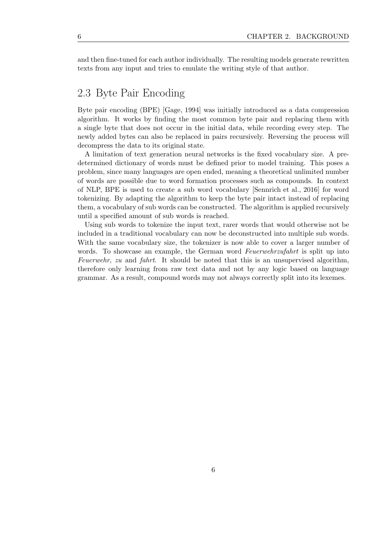and then fine-tuned for each author individually. The resulting models generate rewritten texts from any input and tries to emulate the writing style of that author.

## 2.3 Byte Pair Encoding

Byte pair encoding (BPE) [Gage, 1994] was initially introduced as a data compression algorithm. It works by finding the most common byte pair and replacing them with a single byte that does not occur in the initial data, while recording every step. The newly added bytes can also be replaced in pairs recursively. Reversing the process will decompress the data to its original state.

A limitation of text generation neural networks is the fixed vocabulary size. A predetermined dictionary of words must be defined prior to model training. This poses a problem, since many languages are open ended, meaning a theoretical unlimited number of words are possible due to word formation processes such as compounds. In context of NLP, BPE is used to create a sub word vocabulary [Sennrich et al., 2016] for word tokenizing. By adapting the algorithm to keep the byte pair intact instead of replacing them, a vocabulary of sub words can be constructed. The algorithm is applied recursively until a specified amount of sub words is reached.

Using sub words to tokenize the input text, rarer words that would otherwise not be included in a traditional vocabulary can now be deconstructed into multiple sub words. With the same vocabulary size, the tokenizer is now able to cover a larger number of words. To showcase an example, the German word Feuerwehrzufahrt is split up into Feuerwehr, zu and fahrt. It should be noted that this is an unsupervised algorithm, therefore only learning from raw text data and not by any logic based on language grammar. As a result, compound words may not always correctly split into its lexemes.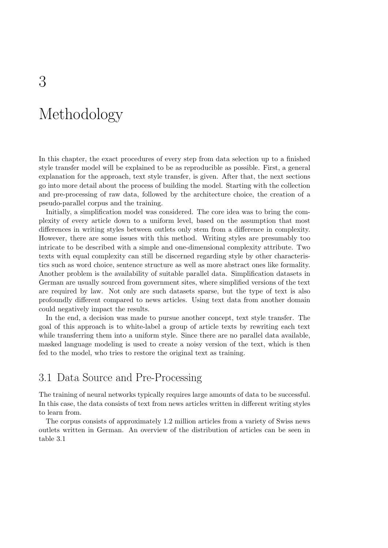## Methodology

In this chapter, the exact procedures of every step from data selection up to a finished style transfer model will be explained to be as reproducible as possible. First, a general explanation for the approach, text style transfer, is given. After that, the next sections go into more detail about the process of building the model. Starting with the collection and pre-processing of raw data, followed by the architecture choice, the creation of a pseudo-parallel corpus and the training.

Initially, a simplification model was considered. The core idea was to bring the complexity of every article down to a uniform level, based on the assumption that most differences in writing styles between outlets only stem from a difference in complexity. However, there are some issues with this method. Writing styles are presumably too intricate to be described with a simple and one-dimensional complexity attribute. Two texts with equal complexity can still be discerned regarding style by other characteristics such as word choice, sentence structure as well as more abstract ones like formality. Another problem is the availability of suitable parallel data. Simplification datasets in German are usually sourced from government sites, where simplified versions of the text are required by law. Not only are such datasets sparse, but the type of text is also profoundly different compared to news articles. Using text data from another domain could negatively impact the results.

In the end, a decision was made to pursue another concept, text style transfer. The goal of this approach is to white-label a group of article texts by rewriting each text while transferring them into a uniform style. Since there are no parallel data available, masked language modeling is used to create a noisy version of the text, which is then fed to the model, who tries to restore the original text as training.

## 3.1 Data Source and Pre-Processing

The training of neural networks typically requires large amounts of data to be successful. In this case, the data consists of text from news articles written in different writing styles to learn from.

The corpus consists of approximately 1.2 million articles from a variety of Swiss news outlets written in German. An overview of the distribution of articles can be seen in table 3.1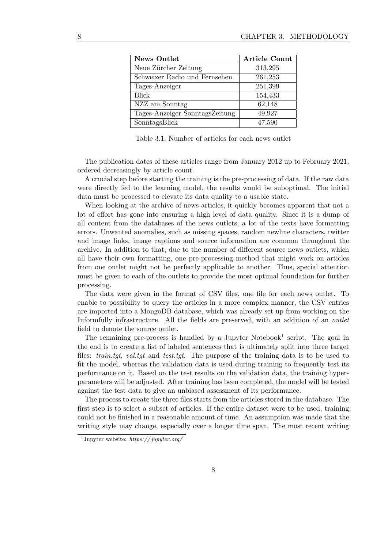| <b>News Outlet</b>             | <b>Article Count</b> |
|--------------------------------|----------------------|
| Neue Zürcher Zeitung           | 313,295              |
| Schweizer Radio und Fernsehen  | 261,253              |
| Tages-Anzeiger                 | 251,399              |
| <b>Blick</b>                   | 154,433              |
| NZZ am Sonntag                 | 62,148               |
| Tages-Anzeiger SonntagsZeitung | 49,927               |
| SonntagsBlick                  | 47,590               |

Table 3.1: Number of articles for each news outlet

The publication dates of these articles range from January 2012 up to February 2021, ordered decreasingly by article count.

A crucial step before starting the training is the pre-processing of data. If the raw data were directly fed to the learning model, the results would be suboptimal. The initial data must be processed to elevate its data quality to a usable state.

When looking at the archive of news articles, it quickly becomes apparent that not a lot of effort has gone into ensuring a high level of data quality. Since it is a dump of all content from the databases of the news outlets, a lot of the texts have formatting errors. Unwanted anomalies, such as missing spaces, random newline characters, twitter and image links, image captions and source information are common throughout the archive. In addition to that, due to the number of different source news outlets, which all have their own formatting, one pre-processing method that might work on articles from one outlet might not be perfectly applicable to another. Thus, special attention must be given to each of the outlets to provide the most optimal foundation for further processing.

The data were given in the format of CSV files, one file for each news outlet. To enable to possibility to query the articles in a more complex manner, the CSV entries are imported into a MongoDB database, which was already set up from working on the Informfully infrastructure. All the fields are preserved, with an addition of an *outlet* field to denote the source outlet.

The remaining pre-process is handled by a Jupyter Notebook<sup>1</sup> script. The goal in the end is to create a list of labeled sentences that is ultimately split into three target files: *train.tgt, val.tgt* and *test.tgt*. The purpose of the training data is to be used to fit the model, whereas the validation data is used during training to frequently test its performance on it. Based on the test results on the validation data, the training hyperparameters will be adjusted. After training has been completed, the model will be tested against the test data to give an unbiased assessment of its performance.

The process to create the three files starts from the articles stored in the database. The first step is to select a subset of articles. If the entire dataset were to be used, training could not be finished in a reasonable amount of time. An assumption was made that the writing style may change, especially over a longer time span. The most recent writing

<sup>&</sup>lt;sup>1</sup>Jupyter website:  $https://jupyter.org/$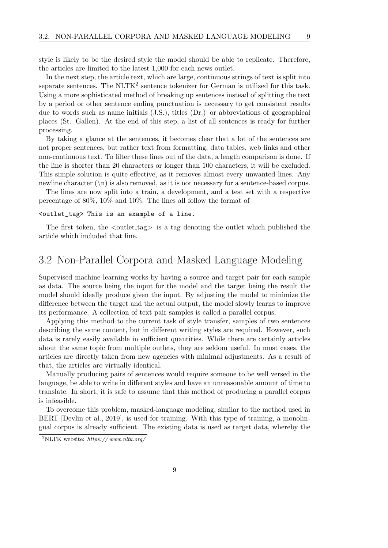style is likely to be the desired style the model should be able to replicate. Therefore, the articles are limited to the latest 1,000 for each news outlet.

In the next step, the article text, which are large, continuous strings of text is split into separate sentences. The NLTK<sup>2</sup> sentence tokenizer for German is utilized for this task. Using a more sophisticated method of breaking up sentences instead of splitting the text by a period or other sentence ending punctuation is necessary to get consistent results due to words such as name initials (J.S.), titles (Dr.) or abbreviations of geographical places (St. Gallen). At the end of this step, a list of all sentences is ready for further processing.

By taking a glance at the sentences, it becomes clear that a lot of the sentences are not proper sentences, but rather text from formatting, data tables, web links and other non-continuous text. To filter these lines out of the data, a length comparison is done. If the line is shorter than 20 characters or longer than 100 characters, it will be excluded. This simple solution is quite effective, as it removes almost every unwanted lines. Any newline character  $(\nabla \cdot \mathbf{n})$  is also removed, as it is not necessary for a sentence-based corpus.

The lines are now split into a train, a development, and a test set with a respective percentage of 80%, 10% and 10%. The lines all follow the format of

#### <outlet\_tag> This is an example of a line.

The first token, the  $\langle$ outlet\_tag $\rangle$  is a tag denoting the outlet which published the article which included that line.

### 3.2 Non-Parallel Corpora and Masked Language Modeling

Supervised machine learning works by having a source and target pair for each sample as data. The source being the input for the model and the target being the result the model should ideally produce given the input. By adjusting the model to minimize the difference between the target and the actual output, the model slowly learns to improve its performance. A collection of text pair samples is called a parallel corpus.

Applying this method to the current task of style transfer, samples of two sentences describing the same content, but in different writing styles are required. However, such data is rarely easily available in sufficient quantities. While there are certainly articles about the same topic from multiple outlets, they are seldom useful. In most cases, the articles are directly taken from new agencies with minimal adjustments. As a result of that, the articles are virtually identical.

Manually producing pairs of sentences would require someone to be well versed in the language, be able to write in different styles and have an unreasonable amount of time to translate. In short, it is safe to assume that this method of producing a parallel corpus is infeasible.

To overcome this problem, masked-language modeling, similar to the method used in BERT [Devlin et al., 2019], is used for training. With this type of training, a monolingual corpus is already sufficient. The existing data is used as target data, whereby the

<sup>&</sup>lt;sup>2</sup>NLTK website:  $https://www.nltk.org/$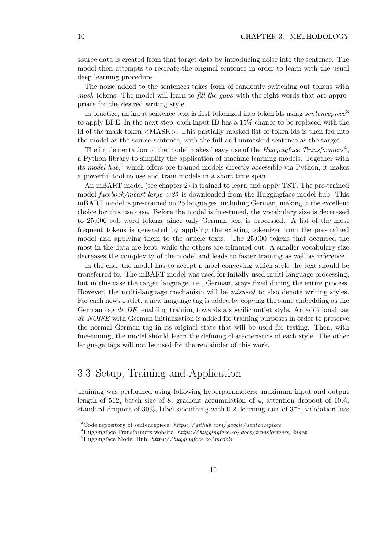source data is created from that target data by introducing noise into the sentence. The model then attempts to recreate the original sentence in order to learn with the usual deep learning procedure.

The noise added to the sentences takes form of randomly switching out tokens with mask tokens. The model will learn to fill the gaps with the right words that are appropriate for the desired writing style.

In practice, an input sentence text is first tokenized into token ids using *sentencepiece*<sup>3</sup> to apply BPE. In the next step, each input ID has a 15% chance to be replaced with the id of the mask token <MASK>. This partially masked list of token ids is then fed into the model as the source sentence, with the full and unmasked sentence as the target.

The implementation of the model makes heavy use of the *Huggingface Transformers*<sup>4</sup>, a Python library to simplify the application of machine learning models. Together with its model hub, <sup>5</sup> which offers pre-trained models directly accessible via Python, it makes a powerful tool to use and train models in a short time span.

An mBART model (see chapter 2) is trained to learn and apply TST. The pre-trained model *facebook/mbart-large-cc25* is downloaded from the Huggingface model hub. This mBART model is pre-trained on 25 languages, including German, making it the excellent choice for this use case. Before the model is fine-tuned, the vocabulary size is decreased to 25,000 sub word tokens, since only German text is processed. A list of the most frequent tokens is generated by applying the existing tokenizer from the pre-trained model and applying them to the article texts. The 25,000 tokens that occurred the most in the data are kept, while the others are trimmed out. A smaller vocabulary size decreases the complexity of the model and leads to faster training as well as inference.

In the end, the model has to accept a label conveying which style the text should be transferred to. The mBART model was used for initally used multi-language processing, but in this case the target language, i.e., German, stays fixed during the entire process. However, the multi-language mechanism will be *misused* to also denote writing styles. For each news outlet, a new language tag is added by copying the same embedding as the German tag  $de$ -DE, enabling training towards a specific outlet style. An additional tag de NOISE with German initialization is added for training purposes in order to preserve the normal German tag in its original state that will be used for testing. Then, with fine-tuning, the model should learn the defining characteristics of each style. The other language tags will not be used for the remainder of this work.

## 3.3 Setup, Training and Application

Training was performed using following hyperparameters: maximum input and output length of 512, batch size of 8, gradient accumulation of 4, attention dropout of  $10\%$ , standard dropout of 30%, label smoothing with 0.2, learning rate of  $3^{-5}$ , validation loss

 $3C$ ode repository of sentencepiece: https://github.com/google/sentencepiece

<sup>&</sup>lt;sup>4</sup>Huggingface Transformers website: https://huggingface.co/docs/transformers/index

 ${}^{5}$ Huggingface Model Hub: https://huggingface.co/models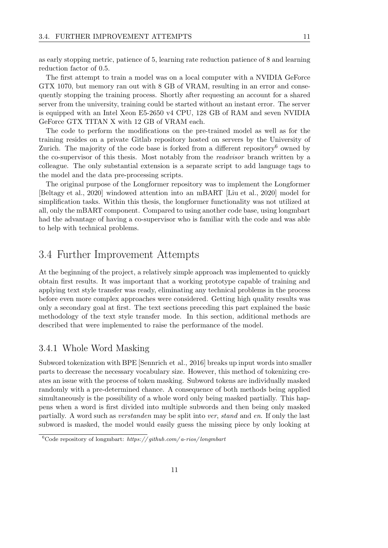as early stopping metric, patience of 5, learning rate reduction patience of 8 and learning reduction factor of 0.5.

The first attempt to train a model was on a local computer with a NVIDIA GeForce GTX 1070, but memory ran out with 8 GB of VRAM, resulting in an error and consequently stopping the training process. Shortly after requesting an account for a shared server from the university, training could be started without an instant error. The server is equipped with an Intel Xeon E5-2650 v4 CPU, 128 GB of RAM and seven NVIDIA GeForce GTX TITAN X with 12 GB of VRAM each.

The code to perform the modifications on the pre-trained model as well as for the training resides on a private Gitlab repository hosted on servers by the University of Zurich. The majority of the code base is forked from a different repository<sup>6</sup> owned by the co-supervisor of this thesis. Most notably from the readvisor branch written by a colleague. The only substantial extension is a separate script to add language tags to the model and the data pre-processing scripts.

The original purpose of the Longformer repository was to implement the Longformer [Beltagy et al., 2020] windowed attention into an mBART [Liu et al., 2020] model for simplification tasks. Within this thesis, the longformer functionality was not utilized at all, only the mBART component. Compared to using another code base, using longmbart had the advantage of having a co-supervisor who is familiar with the code and was able to help with technical problems.

### 3.4 Further Improvement Attempts

At the beginning of the project, a relatively simple approach was implemented to quickly obtain first results. It was important that a working prototype capable of training and applying text style transfer was ready, eliminating any technical problems in the process before even more complex approaches were considered. Getting high quality results was only a secondary goal at first. The text sections preceding this part explained the basic methodology of the text style transfer mode. In this section, additional methods are described that were implemented to raise the performance of the model.

#### 3.4.1 Whole Word Masking

Subword tokenization with BPE [Sennrich et al., 2016] breaks up input words into smaller parts to decrease the necessary vocabulary size. However, this method of tokenizing creates an issue with the process of token masking. Subword tokens are individually masked randomly with a pre-determined chance. A consequence of both methods being applied simultaneously is the possibility of a whole word only being masked partially. This happens when a word is first divided into multiple subwords and then being only masked partially. A word such as verstanden may be split into ver, stand and en. If only the last subword is masked, the model would easily guess the missing piece by only looking at

<sup>&</sup>lt;sup>6</sup>Code repository of longmbart: https://github.com/a-rios/longmbart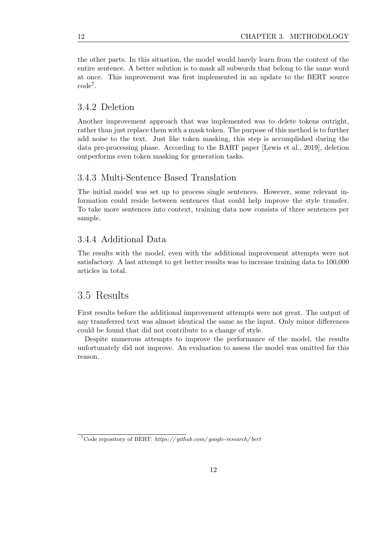the other parts. In this situation, the model would barely learn from the context of the entire sentence. A better solution is to mask all subwords that belong to the same word at once. This improvement was first implemented in an update to the BERT source code<sup>7</sup> .

#### 3.4.2 Deletion

Another improvement approach that was implemented was to delete tokens outright, rather than just replace them with a mask token. The purpose of this method is to further add noise to the text. Just like token masking, this step is accomplished during the data pre-processing phase. According to the BART paper [Lewis et al., 2019], deletion outperforms even token masking for generation tasks.

#### 3.4.3 Multi-Sentence Based Translation

The initial model was set up to process single sentences. However, some relevant information could reside between sentences that could help improve the style transfer. To take more sentences into context, training data now consists of three sentences per sample.

#### 3.4.4 Additional Data

The results with the model, even with the additional improvement attempts were not satisfactory. A last attempt to get better results was to increase training data to 100,000 articles in total.

### 3.5 Results

First results before the additional improvement attempts were not great. The output of any transferred text was almost identical the same as the input. Only minor differences could be found that did not contribute to a change of style.

Despite numerous attempts to improve the performance of the model, the results unfortunately did not improve. An evaluation to assess the model was omitted for this reason.

<sup>&</sup>lt;sup>7</sup>Code repository of BERT: https://github.com/google-research/bert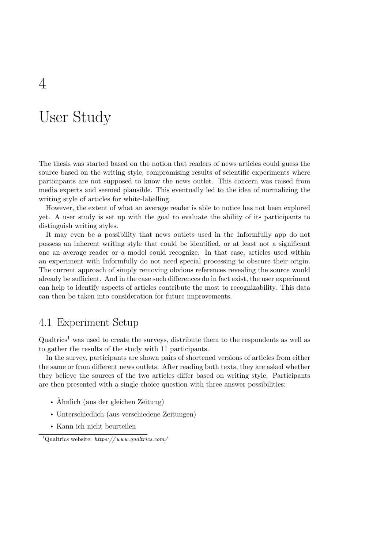## User Study

The thesis was started based on the notion that readers of news articles could guess the source based on the writing style, compromising results of scientific experiments where participants are not supposed to know the news outlet. This concern was raised from media experts and seemed plausible. This eventually led to the idea of normalizing the writing style of articles for white-labelling.

However, the extent of what an average reader is able to notice has not been explored yet. A user study is set up with the goal to evaluate the ability of its participants to distinguish writing styles.

It may even be a possibility that news outlets used in the Informfully app do not possess an inherent writing style that could be identified, or at least not a significant one an average reader or a model could recognize. In that case, articles used within an experiment with Informfully do not need special processing to obscure their origin. The current approach of simply removing obvious references revealing the source would already be sufficient. And in the case such differences do in fact exist, the user experiment can help to identify aspects of articles contribute the most to recognizability. This data can then be taken into consideration for future improvements.

## 4.1 Experiment Setup

 $Qualtrics<sup>1</sup>$  was used to create the surveys, distribute them to the respondents as well as to gather the results of the study with 11 participants.

In the survey, participants are shown pairs of shortened versions of articles from either the same or from different news outlets. After reading both texts, they are asked whether they believe the sources of the two articles differ based on writing style. Participants are then presented with a single choice question with three answer possibilities:

- Ähnlich (aus der gleichen Zeitung)
- Unterschiedlich (aus verschiedene Zeitungen)
- Kann ich nicht beurteilen

<sup>&</sup>lt;sup>1</sup>Qualtrics website: https://www.qualtrics.com/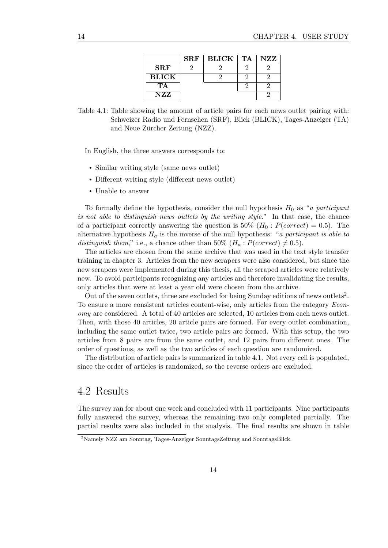|              | <b>SRF</b> | <b>BLICK</b>   TA | NZZ |
|--------------|------------|-------------------|-----|
| $\rm SRF$    |            |                   |     |
| <b>BLICK</b> |            |                   |     |
| TA           |            |                   |     |
| NZZ.         |            |                   |     |

Table 4.1: Table showing the amount of article pairs for each news outlet pairing with: Schweizer Radio und Fernsehen (SRF), Blick (BLICK), Tages-Anzeiger (TA) and Neue Zürcher Zeitung (NZZ).

In English, the three answers corresponds to:

- Similar writing style (same news outlet)
- Different writing style (different news outlet)
- Unable to answer

To formally define the hypothesis, consider the null hypothesis  $H_0$  as "a participant is not able to distinguish news outlets by the writing style." In that case, the chance of a participant correctly answering the question is 50% ( $H_0$ :  $P(correct) = 0.5$ ). The alternative hypothesis  $H_a$  is the inverse of the null hypothesis: "a participant is able to distinguish them," i.e., a chance other than 50% ( $H_a$ :  $P(correct) \neq 0.5$ ).

The articles are chosen from the same archive that was used in the text style transfer training in chapter 3. Articles from the new scrapers were also considered, but since the new scrapers were implemented during this thesis, all the scraped articles were relatively new. To avoid participants recognizing any articles and therefore invalidating the results, only articles that were at least a year old were chosen from the archive.

Out of the seven outlets, three are excluded for being Sunday editions of news outlets<sup>2</sup>. To ensure a more consistent articles content-wise, only articles from the category Economy are considered. A total of 40 articles are selected, 10 articles from each news outlet. Then, with those 40 articles, 20 article pairs are formed. For every outlet combination, including the same outlet twice, two article pairs are formed. With this setup, the two articles from 8 pairs are from the same outlet, and 12 pairs from different ones. The order of questions, as well as the two articles of each question are randomized.

The distribution of article pairs is summarized in table 4.1. Not every cell is populated, since the order of articles is randomized, so the reverse orders are excluded.

## 4.2 Results

The survey ran for about one week and concluded with 11 participants. Nine participants fully answered the survey, whereas the remaining two only completed partially. The partial results were also included in the analysis. The final results are shown in table

<sup>2</sup>Namely NZZ am Sonntag, Tages-Anzeiger SonntagsZeitung and SonntagsBlick.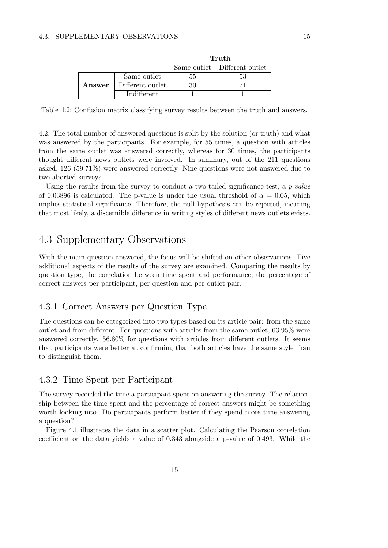|        |                    | Truth |                                |
|--------|--------------------|-------|--------------------------------|
|        |                    |       | Same outlet   Different outlet |
|        | Same outlet        |       |                                |
| Answer | Different outlet   |       |                                |
|        | <i>Indifferent</i> |       |                                |

Table 4.2: Confusion matrix classifying survey results between the truth and answers.

4.2. The total number of answered questions is split by the solution (or truth) and what was answered by the participants. For example, for 55 times, a question with articles from the same outlet was answered correctly, whereas for 30 times, the participants thought different news outlets were involved. In summary, out of the 211 questions asked, 126 (59.71%) were answered correctly. Nine questions were not answered due to two aborted surveys.

Using the results from the survey to conduct a two-tailed significance test, a  $p-value$ of 0.03896 is calculated. The p-value is under the usual threshold of  $\alpha = 0.05$ , which implies statistical significance. Therefore, the null hypothesis can be rejected, meaning that most likely, a discernible difference in writing styles of different news outlets exists.

## 4.3 Supplementary Observations

With the main question answered, the focus will be shifted on other observations. Five additional aspects of the results of the survey are examined. Comparing the results by question type, the correlation between time spent and performance, the percentage of correct answers per participant, per question and per outlet pair.

#### 4.3.1 Correct Answers per Question Type

The questions can be categorized into two types based on its article pair: from the same outlet and from different. For questions with articles from the same outlet, 63.95% were answered correctly. 56.80% for questions with articles from different outlets. It seems that participants were better at confirming that both articles have the same style than to distinguish them.

### 4.3.2 Time Spent per Participant

The survey recorded the time a participant spent on answering the survey. The relationship between the time spent and the percentage of correct answers might be something worth looking into. Do participants perform better if they spend more time answering a question?

Figure 4.1 illustrates the data in a scatter plot. Calculating the Pearson correlation coefficient on the data yields a value of 0.343 alongside a p-value of 0.493. While the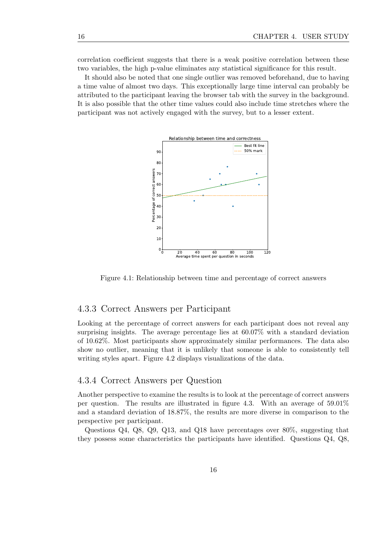correlation coefficient suggests that there is a weak positive correlation between these two variables, the high p-value eliminates any statistical significance for this result.

It should also be noted that one single outlier was removed beforehand, due to having a time value of almost two days. This exceptionally large time interval can probably be attributed to the participant leaving the browser tab with the survey in the background. It is also possible that the other time values could also include time stretches where the participant was not actively engaged with the survey, but to a lesser extent.



Figure 4.1: Relationship between time and percentage of correct answers

#### 4.3.3 Correct Answers per Participant

Looking at the percentage of correct answers for each participant does not reveal any surprising insights. The average percentage lies at 60.07% with a standard deviation of 10.62%. Most participants show approximately similar performances. The data also show no outlier, meaning that it is unlikely that someone is able to consistently tell writing styles apart. Figure 4.2 displays visualizations of the data.

#### 4.3.4 Correct Answers per Question

Another perspective to examine the results is to look at the percentage of correct answers per question. The results are illustrated in figure 4.3. With an average of  $59.01\%$ and a standard deviation of 18.87%, the results are more diverse in comparison to the perspective per participant.

Questions Q4, Q8, Q9, Q13, and Q18 have percentages over 80%, suggesting that they possess some characteristics the participants have identified. Questions Q4, Q8,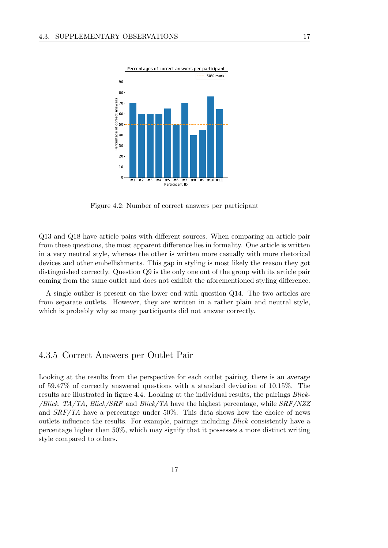

Figure 4.2: Number of correct answers per participant

Q13 and Q18 have article pairs with different sources. When comparing an article pair from these questions, the most apparent difference lies in formality. One article is written in a very neutral style, whereas the other is written more casually with more rhetorical devices and other embellishments. This gap in styling is most likely the reason they got distinguished correctly. Question Q9 is the only one out of the group with its article pair coming from the same outlet and does not exhibit the aforementioned styling difference.

A single outlier is present on the lower end with question Q14. The two articles are from separate outlets. However, they are written in a rather plain and neutral style, which is probably why so many participants did not answer correctly.

#### 4.3.5 Correct Answers per Outlet Pair

Looking at the results from the perspective for each outlet pairing, there is an average of 59.47% of correctly answered questions with a standard deviation of 10.15%. The results are illustrated in figure 4.4. Looking at the individual results, the pairings Blick- /Blick, TA/TA, Blick/SRF and Blick/TA have the highest percentage, while SRF/NZZ and SRF/TA have a percentage under 50%. This data shows how the choice of news outlets influence the results. For example, pairings including Blick consistently have a percentage higher than 50%, which may signify that it possesses a more distinct writing style compared to others.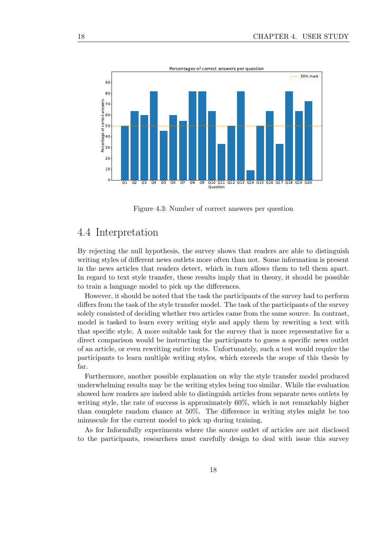

Figure 4.3: Number of correct answers per question

### 4.4 Interpretation

By rejecting the null hypothesis, the survey shows that readers are able to distinguish writing styles of different news outlets more often than not. Some information is present in the news articles that readers detect, which in turn allows them to tell them apart. In regard to text style transfer, these results imply that in theory, it should be possible to train a language model to pick up the differences.

However, it should be noted that the task the participants of the survey had to perform differs from the task of the style transfer model. The task of the participants of the survey solely consisted of deciding whether two articles came from the same source. In contrast, model is tasked to learn every writing style and apply them by rewriting a text with that specific style. A more suitable task for the survey that is more representative for a direct comparison would be instructing the participants to guess a specific news outlet of an article, or even rewriting entire texts. Unfortunately, such a test would require the participants to learn multiple writing styles, which exceeds the scope of this thesis by far.

Furthermore, another possible explanation on why the style transfer model produced underwhelming results may be the writing styles being too similar. While the evaluation showed how readers are indeed able to distinguish articles from separate news outlets by writing style, the rate of success is approximately 60%, which is not remarkably higher than complete random chance at 50%. The difference in writing styles might be too minuscule for the current model to pick up during training.

As for Informfully experiments where the source outlet of articles are not disclosed to the participants, researchers must carefully design to deal with issue this survey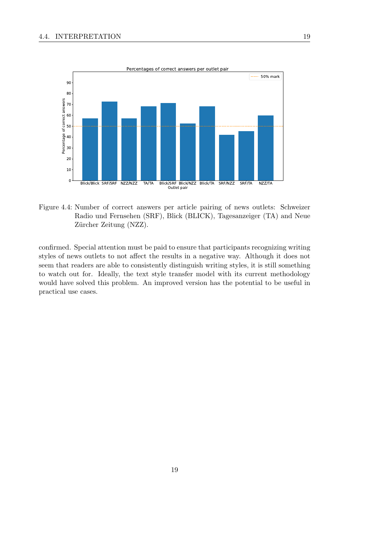

Figure 4.4: Number of correct answers per article pairing of news outlets: Schweizer Radio und Fernsehen (SRF), Blick (BLICK), Tagesanzeiger (TA) and Neue Zürcher Zeitung (NZZ).

confirmed. Special attention must be paid to ensure that participants recognizing writing styles of news outlets to not affect the results in a negative way. Although it does not seem that readers are able to consistently distinguish writing styles, it is still something to watch out for. Ideally, the text style transfer model with its current methodology would have solved this problem. An improved version has the potential to be useful in practical use cases.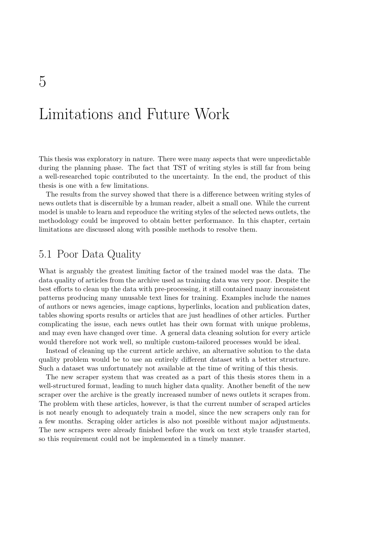## Limitations and Future Work

This thesis was exploratory in nature. There were many aspects that were unpredictable during the planning phase. The fact that TST of writing styles is still far from being a well-researched topic contributed to the uncertainty. In the end, the product of this thesis is one with a few limitations.

The results from the survey showed that there is a difference between writing styles of news outlets that is discernible by a human reader, albeit a small one. While the current model is unable to learn and reproduce the writing styles of the selected news outlets, the methodology could be improved to obtain better performance. In this chapter, certain limitations are discussed along with possible methods to resolve them.

## 5.1 Poor Data Quality

What is arguably the greatest limiting factor of the trained model was the data. The data quality of articles from the archive used as training data was very poor. Despite the best efforts to clean up the data with pre-processing, it still contained many inconsistent patterns producing many unusable text lines for training. Examples include the names of authors or news agencies, image captions, hyperlinks, location and publication dates, tables showing sports results or articles that are just headlines of other articles. Further complicating the issue, each news outlet has their own format with unique problems, and may even have changed over time. A general data cleaning solution for every article would therefore not work well, so multiple custom-tailored processes would be ideal.

Instead of cleaning up the current article archive, an alternative solution to the data quality problem would be to use an entirely different dataset with a better structure. Such a dataset was unfortunately not available at the time of writing of this thesis.

The new scraper system that was created as a part of this thesis stores them in a well-structured format, leading to much higher data quality. Another benefit of the new scraper over the archive is the greatly increased number of news outlets it scrapes from. The problem with these articles, however, is that the current number of scraped articles is not nearly enough to adequately train a model, since the new scrapers only ran for a few months. Scraping older articles is also not possible without major adjustments. The new scrapers were already finished before the work on text style transfer started, so this requirement could not be implemented in a timely manner.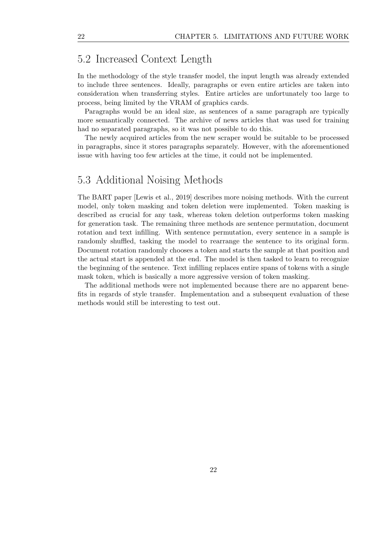## 5.2 Increased Context Length

In the methodology of the style transfer model, the input length was already extended to include three sentences. Ideally, paragraphs or even entire articles are taken into consideration when transferring styles. Entire articles are unfortunately too large to process, being limited by the VRAM of graphics cards.

Paragraphs would be an ideal size, as sentences of a same paragraph are typically more semantically connected. The archive of news articles that was used for training had no separated paragraphs, so it was not possible to do this.

The newly acquired articles from the new scraper would be suitable to be processed in paragraphs, since it stores paragraphs separately. However, with the aforementioned issue with having too few articles at the time, it could not be implemented.

### 5.3 Additional Noising Methods

The BART paper [Lewis et al., 2019] describes more noising methods. With the current model, only token masking and token deletion were implemented. Token masking is described as crucial for any task, whereas token deletion outperforms token masking for generation task. The remaining three methods are sentence permutation, document rotation and text infilling. With sentence permutation, every sentence in a sample is randomly shuffled, tasking the model to rearrange the sentence to its original form. Document rotation randomly chooses a token and starts the sample at that position and the actual start is appended at the end. The model is then tasked to learn to recognize the beginning of the sentence. Text infilling replaces entire spans of tokens with a single mask token, which is basically a more aggressive version of token masking.

The additional methods were not implemented because there are no apparent benefits in regards of style transfer. Implementation and a subsequent evaluation of these methods would still be interesting to test out.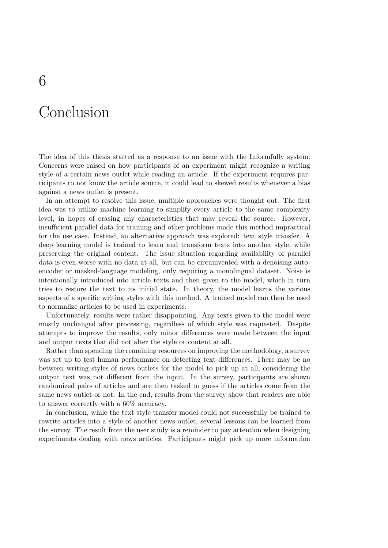## Conclusion

The idea of this thesis started as a response to an issue with the Informfully system. Concerns were raised on how participants of an experiment might recognize a writing style of a certain news outlet while reading an article. If the experiment requires participants to not know the article source, it could lead to skewed results whenever a bias against a news outlet is present.

In an attempt to resolve this issue, multiple approaches were thought out. The first idea was to utilize machine learning to simplify every article to the same complexity level, in hopes of erasing any characteristics that may reveal the source. However, insufficient parallel data for training and other problems made this method impractical for the use case. Instead, an alternative approach was explored: text style transfer. A deep learning model is trained to learn and transform texts into another style, while preserving the original content. The issue situation regarding availability of parallel data is even worse with no data at all, but can be circumvented with a denoising autoencoder or masked-language modeling, only requiring a monolingual dataset. Noise is intentionally introduced into article texts and then given to the model, which in turn tries to restore the text to its initial state. In theory, the model learns the various aspects of a specific writing styles with this method. A trained model can then be used to normalize articles to be used in experiments.

Unfortunately, results were rather disappointing. Any texts given to the model were mostly unchanged after processing, regardless of which style was requested. Despite attempts to improve the results, only minor differences were made between the input and output texts that did not alter the style or content at all.

Rather than spending the remaining resources on improving the methodology, a survey was set up to test human performance on detecting text differences. There may be no between writing styles of news outlets for the model to pick up at all, considering the output text was not different from the input. In the survey, participants are shown randomized pairs of articles and are then tasked to guess if the articles come from the same news outlet or not. In the end, results from the survey show that readers are able to answer correctly with a 60% accuracy.

In conclusion, while the text style transfer model could not successfully be trained to rewrite articles into a style of another news outlet, several lessons can be learned from the survey. The result from the user study is a reminder to pay attention when designing experiments dealing with news articles. Participants might pick up more information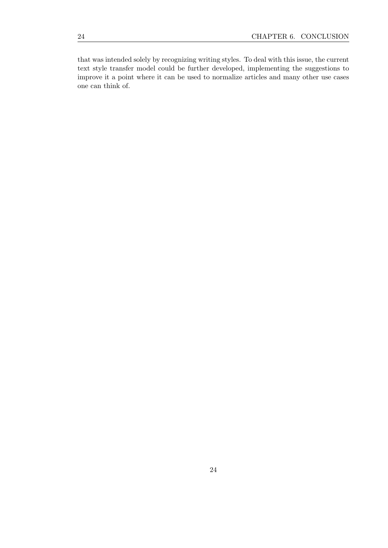that was intended solely by recognizing writing styles. To deal with this issue, the current text style transfer model could be further developed, implementing the suggestions to improve it a point where it can be used to normalize articles and many other use cases one can think of.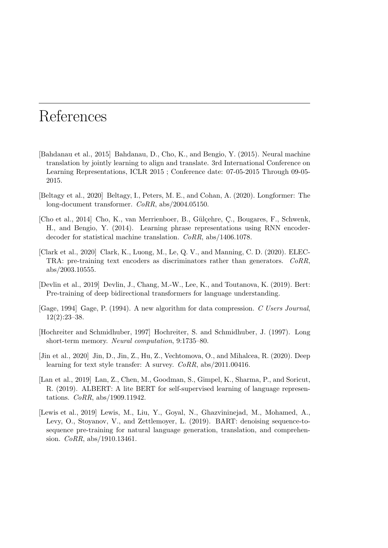## References

- [Bahdanau et al., 2015] Bahdanau, D., Cho, K., and Bengio, Y. (2015). Neural machine translation by jointly learning to align and translate. 3rd International Conference on Learning Representations, ICLR 2015 ; Conference date: 07-05-2015 Through 09-05- 2015.
- [Beltagy et al., 2020] Beltagy, I., Peters, M. E., and Cohan, A. (2020). Longformer: The long-document transformer. CoRR, abs/2004.05150.
- [Cho et al., 2014] Cho, K., van Merrienboer, B., G¨ul¸cehre, C¸ ., Bougares, F., Schwenk, H., and Bengio, Y. (2014). Learning phrase representations using RNN encoderdecoder for statistical machine translation. CoRR, abs/1406.1078.
- [Clark et al., 2020] Clark, K., Luong, M., Le, Q. V., and Manning, C. D. (2020). ELEC-TRA: pre-training text encoders as discriminators rather than generators. CoRR, abs/2003.10555.
- [Devlin et al., 2019] Devlin, J., Chang, M.-W., Lee, K., and Toutanova, K. (2019). Bert: Pre-training of deep bidirectional transformers for language understanding.
- [Gage, 1994] Gage, P. (1994). A new algorithm for data compression. C Users Journal,  $12(2):23-38.$
- [Hochreiter and Schmidhuber, 1997] Hochreiter, S. and Schmidhuber, J. (1997). Long short-term memory. Neural computation, 9:1735–80.
- [Jin et al., 2020] Jin, D., Jin, Z., Hu, Z., Vechtomova, O., and Mihalcea, R. (2020). Deep learning for text style transfer: A survey. CoRR, abs/2011.00416.
- [Lan et al., 2019] Lan, Z., Chen, M., Goodman, S., Gimpel, K., Sharma, P., and Soricut, R. (2019). ALBERT: A lite BERT for self-supervised learning of language representations. CoRR, abs/1909.11942.
- [Lewis et al., 2019] Lewis, M., Liu, Y., Goyal, N., Ghazvininejad, M., Mohamed, A., Levy, O., Stoyanov, V., and Zettlemoyer, L. (2019). BART: denoising sequence-tosequence pre-training for natural language generation, translation, and comprehension. CoRR, abs/1910.13461.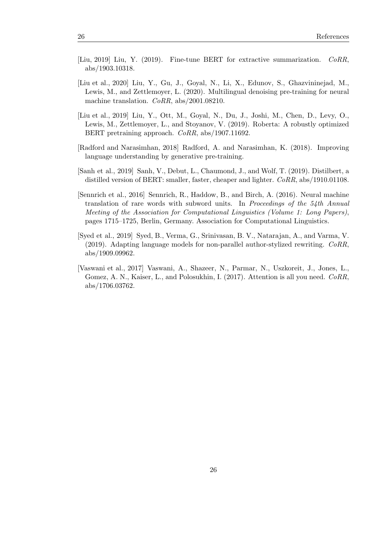- [Liu, 2019] Liu, Y. (2019). Fine-tune BERT for extractive summarization. CoRR, abs/1903.10318.
- [Liu et al., 2020] Liu, Y., Gu, J., Goyal, N., Li, X., Edunov, S., Ghazvininejad, M., Lewis, M., and Zettlemoyer, L. (2020). Multilingual denoising pre-training for neural machine translation. CoRR, abs/2001.08210.
- [Liu et al., 2019] Liu, Y., Ott, M., Goyal, N., Du, J., Joshi, M., Chen, D., Levy, O., Lewis, M., Zettlemoyer, L., and Stoyanov, V. (2019). Roberta: A robustly optimized BERT pretraining approach. CoRR, abs/1907.11692.
- [Radford and Narasimhan, 2018] Radford, A. and Narasimhan, K. (2018). Improving language understanding by generative pre-training.
- [Sanh et al., 2019] Sanh, V., Debut, L., Chaumond, J., and Wolf, T. (2019). Distilbert, a distilled version of BERT: smaller, faster, cheaper and lighter. CoRR, abs/1910.01108.
- [Sennrich et al., 2016] Sennrich, R., Haddow, B., and Birch, A. (2016). Neural machine translation of rare words with subword units. In Proceedings of the 54th Annual Meeting of the Association for Computational Linguistics (Volume 1: Long Papers), pages 1715–1725, Berlin, Germany. Association for Computational Linguistics.
- [Syed et al., 2019] Syed, B., Verma, G., Srinivasan, B. V., Natarajan, A., and Varma, V.  $(2019)$ . Adapting language models for non-parallel author-stylized rewriting.  $CoRR$ , abs/1909.09962.
- [Vaswani et al., 2017] Vaswani, A., Shazeer, N., Parmar, N., Uszkoreit, J., Jones, L., Gomez, A. N., Kaiser, L., and Polosukhin, I. (2017). Attention is all you need. CoRR, abs/1706.03762.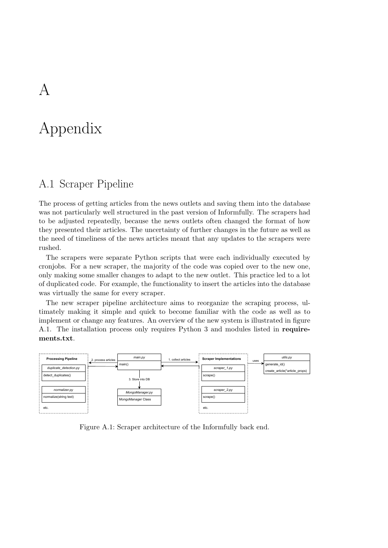## Appendix

## A.1 Scraper Pipeline

The process of getting articles from the news outlets and saving them into the database was not particularly well structured in the past version of Informfully. The scrapers had to be adjusted repeatedly, because the news outlets often changed the format of how they presented their articles. The uncertainty of further changes in the future as well as the need of timeliness of the news articles meant that any updates to the scrapers were rushed.

The scrapers were separate Python scripts that were each individually executed by cronjobs. For a new scraper, the majority of the code was copied over to the new one, only making some smaller changes to adapt to the new outlet. This practice led to a lot of duplicated code. For example, the functionality to insert the articles into the database was virtually the same for every scraper.

The new scraper pipeline architecture aims to reorganize the scraping process, ultimately making it simple and quick to become familiar with the code as well as to implement or change any features. An overview of the new system is illustrated in figure A.1. The installation process only requires Python 3 and modules listed in requirements.txt.



Figure A.1: Scraper architecture of the Informfully back end.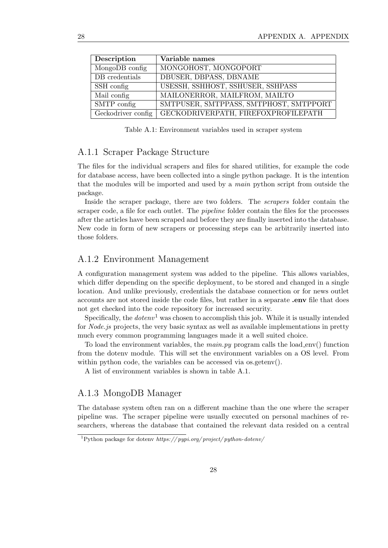| Description        | Variable names                         |
|--------------------|----------------------------------------|
| MongoDB config     | MONGOHOST, MONGOPORT                   |
| DB credentials     | DBUSER, DBPASS, DBNAME                 |
| SSH config         | USESSH, SSHHOST, SSHUSER, SSHPASS      |
| Mail config        | MAILONERROR, MAILFROM, MAILTO          |
| SMTP config        | SMTPUSER, SMTPPASS, SMTPHOST, SMTPPORT |
| Geckodriver config | GECKODRIVERPATH, FIREFOXPROFILEPATH    |

Table A.1: Environment variables used in scraper system

#### A.1.1 Scraper Package Structure

The files for the individual scrapers and files for shared utilities, for example the code for database access, have been collected into a single python package. It is the intention that the modules will be imported and used by a main python script from outside the package.

Inside the scraper package, there are two folders. The scrapers folder contain the scraper code, a file for each outlet. The *pipeline* folder contain the files for the processes after the articles have been scraped and before they are finally inserted into the database. New code in form of new scrapers or processing steps can be arbitrarily inserted into those folders.

#### A.1.2 Environment Management

A configuration management system was added to the pipeline. This allows variables, which differ depending on the specific deployment, to be stored and changed in a single location. And unlike previously, credentials the database connection or for news outlet accounts are not stored inside the code files, but rather in a separate .env file that does not get checked into the code repository for increased security.

Specifically, the  $dotenv<sup>1</sup>$  was chosen to accomplish this job. While it is usually intended for *Node. is* projects, the very basic syntax as well as available implementations in pretty much every common programming languages made it a well suited choice.

To load the environment variables, the *main.py* program calls the load env() function from the dotenv module. This will set the environment variables on a OS level. From within python code, the variables can be accessed via os.getenv().

A list of environment variables is shown in table A.1.

#### A.1.3 MongoDB Manager

The database system often ran on a different machine than the one where the scraper pipeline was. The scraper pipeline were usually executed on personal machines of researchers, whereas the database that contained the relevant data resided on a central

 $1$ Python package for dotenv https://pypi.org/project/python-dotenv/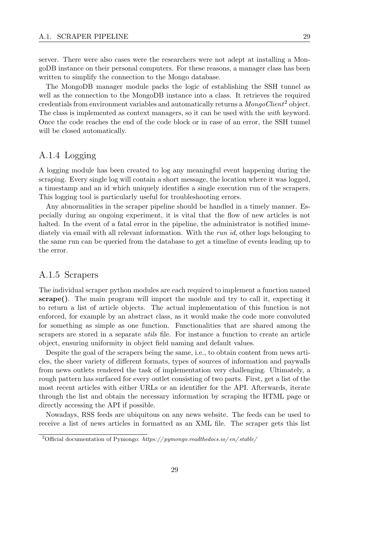server. There were also cases were the researchers were not adept at installing a MongoDB instance on their personal computers. For these reasons, a manager class has been written to simplify the connection to the Mongo database.

The MongoDB manager module packs the logic of establishing the SSH tunnel as well as the connection to the MongoDB instance into a class. It retrieves the required credentials from environment variables and automatically returns a  $\text{  $\text{longoClient}^2$  object.$ The class is implemented as context managers, so it can be used with the with keyword. Once the code reaches the end of the code block or in case of an error, the SSH tunnel will be closed automatically.

#### A.1.4 Logging

A logging module has been created to log any meaningful event happening during the scraping. Every single log will contain a short message, the location where it was logged, a timestamp and an id which uniquely identifies a single execution run of the scrapers. This logging tool is particularly useful for troubleshooting errors.

Any abnormalities in the scraper pipeline should be handled in a timely manner. Especially during an ongoing experiment, it is vital that the flow of new articles is not halted. In the event of a fatal error in the pipeline, the administrator is notified immediately via email with all relevant information. With the run id, other logs belonging to the same run can be queried from the database to get a timeline of events leading up to the error.

#### A.1.5 Scrapers

The individual scraper python modules are each required to implement a function named scrape(). The main program will import the module and try to call it, expecting it to return a list of article objects. The actual implementation of this function is not enforced, for example by an abstract class, as it would make the code more convoluted for something as simple as one function. Functionalities that are shared among the scrapers are stored in a separate *utils* file. For instance a function to create an article object, ensuring uniformity in object field naming and default values.

Despite the goal of the scrapers being the same, i.e., to obtain content from news articles, the sheer variety of different formats, types of sources of information and paywalls from news outlets rendered the task of implementation very challenging. Ultimately, a rough pattern has surfaced for every outlet consisting of two parts. First, get a list of the most recent articles with either URLs or an identifier for the API. Afterwards, iterate through the list and obtain the necessary information by scraping the HTML page or directly accessing the API if possible.

Nowadays, RSS feeds are ubiquitous on any news website. The feeds can be used to receive a list of news articles in formatted as an XML file. The scraper gets this list

<sup>&</sup>lt;sup>2</sup>Official documentation of Pymongo: https://pymongo.readthedocs.io/en/stable/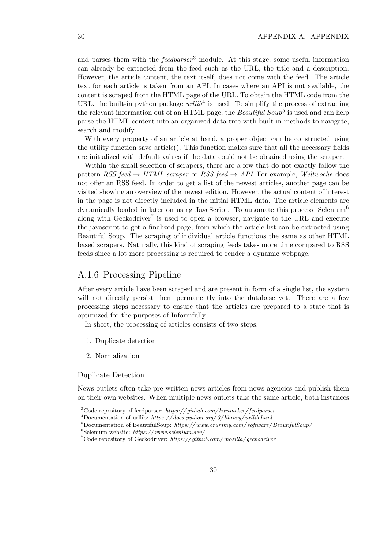and parses them with the  $feedback$  module. At this stage, some useful information can already be extracted from the feed such as the URL, the title and a description. However, the article content, the text itself, does not come with the feed. The article text for each article is taken from an API. In cases where an API is not available, the content is scraped from the HTML page of the URL. To obtain the HTML code from the URL, the built-in python package  $urllib<sup>4</sup>$  is used. To simplify the process of extracting the relevant information out of an HTML page, the *Beautiful Soup*<sup>5</sup> is used and can help parse the HTML content into an organized data tree with built-in methods to navigate, search and modify.

With every property of an article at hand, a proper object can be constructed using the utility function save article(). This function makes sure that all the necessary fields are initialized with default values if the data could not be obtained using the scraper.

Within the small selection of scrapers, there are a few that do not exactly follow the pattern RSS feed  $\rightarrow HTML$  scraper or RSS feed  $\rightarrow API$ . For example, Weltwoche does not offer an RSS feed. In order to get a list of the newest articles, another page can be visited showing an overview of the newest edition. However, the actual content of interest in the page is not directly included in the initial HTML data. The article elements are dynamically loaded in later on using JavaScript. To automate this process, Selenium<sup>6</sup> along with Geckodriver<sup>7</sup> is used to open a browser, navigate to the URL and execute the javascript to get a finalized page, from which the article list can be extracted using Beautiful Soup. The scraping of individual article functions the same as other HTML based scrapers. Naturally, this kind of scraping feeds takes more time compared to RSS feeds since a lot more processing is required to render a dynamic webpage.

#### A.1.6 Processing Pipeline

After every article have been scraped and are present in form of a single list, the system will not directly persist them permanently into the database yet. There are a few processing steps necessary to ensure that the articles are prepared to a state that is optimized for the purposes of Informfully.

In short, the processing of articles consists of two steps:

- 1. Duplicate detection
- 2. Normalization

Duplicate Detection

News outlets often take pre-written news articles from news agencies and publish them on their own websites. When multiple news outlets take the same article, both instances

 $3C$ ode repository of feedparser: https://github.com/kurtmckee/feedparser

 $^{4}$ Documentation of urllib: https://docs.python.org/3/library/urllib.html

 $5D$ ocumentation of BeautifulSoup: https://www.crummy.com/software/BeautifulSoup/

 $6$ Selenium website: https://www.selenium.dev/

<sup>&</sup>lt;sup>7</sup>Code repository of Geckodriver: https://github.com/mozilla/geckodriver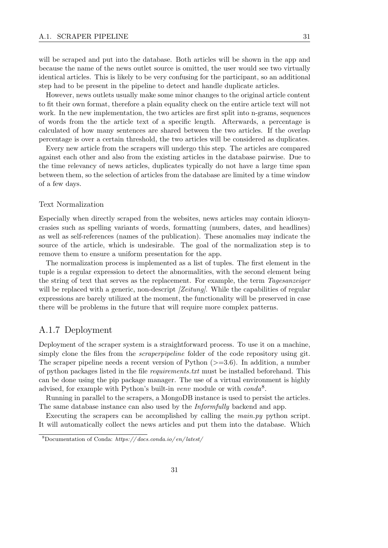will be scraped and put into the database. Both articles will be shown in the app and because the name of the news outlet source is omitted, the user would see two virtually identical articles. This is likely to be very confusing for the participant, so an additional step had to be present in the pipeline to detect and handle duplicate articles.

However, news outlets usually make some minor changes to the original article content to fit their own format, therefore a plain equality check on the entire article text will not work. In the new implementation, the two articles are first split into n-grams, sequences of words from the the article text of a specific length. Afterwards, a percentage is calculated of how many sentences are shared between the two articles. If the overlap percentage is over a certain threshold, the two articles will be considered as duplicates.

Every new article from the scrapers will undergo this step. The articles are compared against each other and also from the existing articles in the database pairwise. Due to the time relevancy of news articles, duplicates typically do not have a large time span between them, so the selection of articles from the database are limited by a time window of a few days.

#### Text Normalization

Especially when directly scraped from the websites, news articles may contain idiosyncrasies such as spelling variants of words, formatting (numbers, dates, and headlines) as well as self-references (names of the publication). These anomalies may indicate the source of the article, which is undesirable. The goal of the normalization step is to remove them to ensure a uniform presentation for the app.

The normalization process is implemented as a list of tuples. The first element in the tuple is a regular expression to detect the abnormalities, with the second element being the string of text that serves as the replacement. For example, the term Tagesanzeiger will be replaced with a generic, non-descript  $\ell$  [Zeitung]. While the capabilities of regular expressions are barely utilized at the moment, the functionality will be preserved in case there will be problems in the future that will require more complex patterns.

#### A.1.7 Deployment

Deployment of the scraper system is a straightforward process. To use it on a machine, simply clone the files from the *scraperpipeline* folder of the code repository using git. The scraper pipeline needs a recent version of Python  $(>=3.6)$ . In addition, a number of python packages listed in the file requirements.txt must be installed beforehand. This can be done using the pip package manager. The use of a virtual environment is highly advised, for example with Python's built-in venv module or with  $conda<sup>8</sup>$ .

Running in parallel to the scrapers, a MongoDB instance is used to persist the articles. The same database instance can also used by the Informfully backend and app.

Executing the scrapers can be accomplished by calling the main.py python script. It will automatically collect the news articles and put them into the database. Which

<sup>8</sup>Documentation of Conda: https:// docs.conda.io/ en/ latest/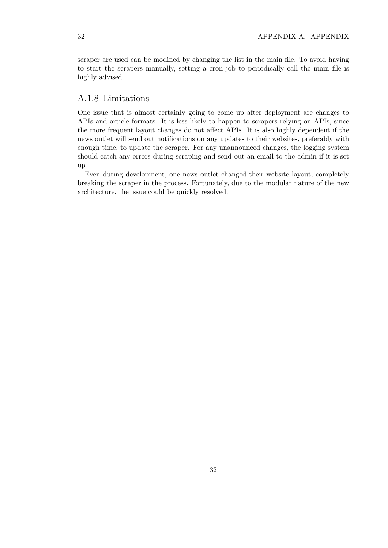scraper are used can be modified by changing the list in the main file. To avoid having to start the scrapers manually, setting a cron job to periodically call the main file is highly advised.

#### A.1.8 Limitations

One issue that is almost certainly going to come up after deployment are changes to APIs and article formats. It is less likely to happen to scrapers relying on APIs, since the more frequent layout changes do not affect APIs. It is also highly dependent if the news outlet will send out notifications on any updates to their websites, preferably with enough time, to update the scraper. For any unannounced changes, the logging system should catch any errors during scraping and send out an email to the admin if it is set up.

Even during development, one news outlet changed their website layout, completely breaking the scraper in the process. Fortunately, due to the modular nature of the new architecture, the issue could be quickly resolved.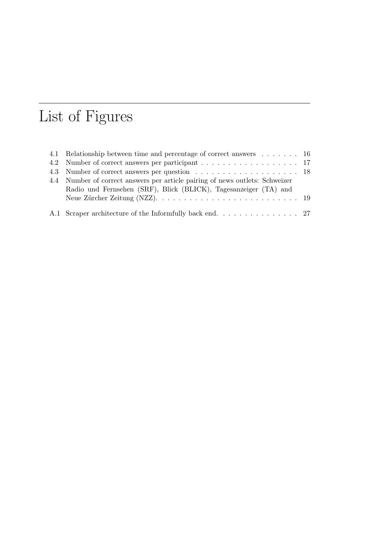# List of Figures

| 4.1 Relationship between time and percentage of correct answers 16           |  |
|------------------------------------------------------------------------------|--|
|                                                                              |  |
|                                                                              |  |
| 4.4 Number of correct answers per article pairing of news outlets: Schweizer |  |
| Radio und Fernsehen (SRF), Blick (BLICK), Tagesanzeiger (TA) and             |  |
|                                                                              |  |
|                                                                              |  |